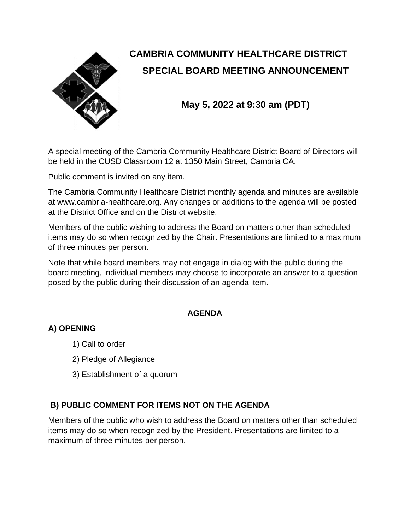

# **CAMBRIA COMMUNITY HEALTHCARE DISTRICT SPECIAL BOARD MEETING ANNOUNCEMENT**

**May 5, 2022 at 9:30 am (PDT)**

A special meeting of the Cambria Community Healthcare District Board of Directors will be held in the CUSD Classroom 12 at 1350 Main Street, Cambria CA.

Public comment is invited on any item.

The Cambria Community Healthcare District monthly agenda and minutes are available at www.cambria-healthcare.org. Any changes or additions to the agenda will be posted at the District Office and on the District website.

Members of the public wishing to address the Board on matters other than scheduled items may do so when recognized by the Chair. Presentations are limited to a maximum of three minutes per person.

Note that while board members may not engage in dialog with the public during the board meeting, individual members may choose to incorporate an answer to a question posed by the public during their discussion of an agenda item.

#### **AGENDA**

## **A) OPENING**

- 1) Call to order
- 2) Pledge of Allegiance
- 3) Establishment of a quorum

#### **B) PUBLIC COMMENT FOR ITEMS NOT ON THE AGENDA**

Members of the public who wish to address the Board on matters other than scheduled items may do so when recognized by the President. Presentations are limited to a maximum of three minutes per person.